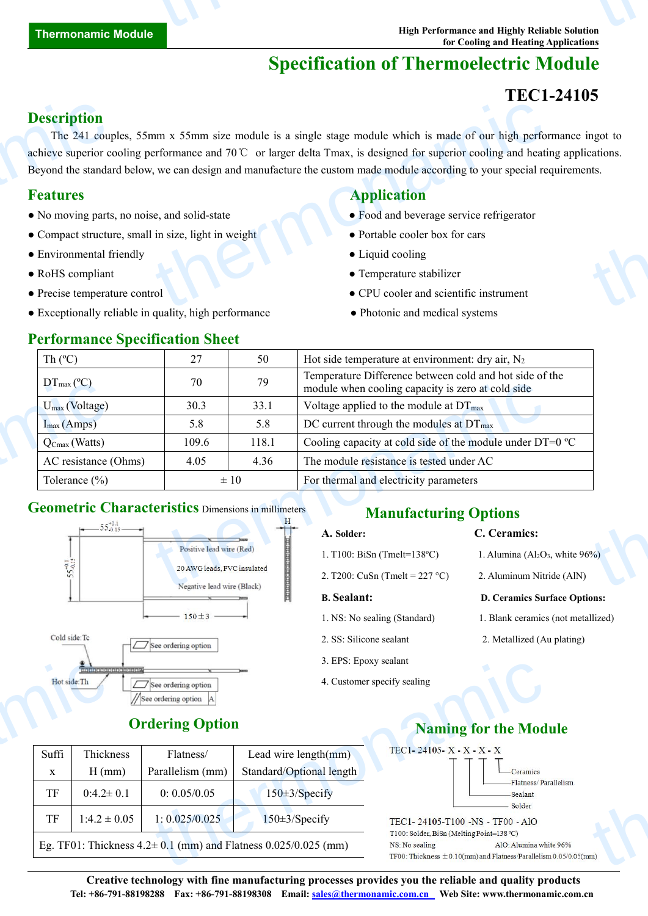# **Specification of Thermoelectric Module**

## **TEC1-24105**

### **Description**

The 241 couples, 55mm x 55mm size module is a single stage module which is made of our high performance ingot to achieve superior cooling performance and 70℃ or larger delta Tmax, is designed for superior cooling and heating applications. Beyond the standard below, we can design and manufacture the custom made module according to your special requirements. **Description**<br>The 241 coupled<br>achieve superior compared by a standard **Features**<br>• No moving parts<br>• Compact structure **Exercise Environmental for Precise temperat** THE THE TRIGGENT OF THE TRIGGENT OF THE TRIGGENT OF THE TRIGGENT OF STATE OF THE TRIGGENT OF THE TRIGGENT OF THE TRIGGENT OF THE TRIGGENT OF THE TRIGGENT OF THE TRIGGENT OF THE TRIGGENT OF THE TRIGGENT OF THE TRIGGENT OF T ngot to cations.

- No moving parts, no noise, and solid-state Food and beverage service refrigerator
- Compact structure, small in size, light in weight **•** Portable cooler box for cars
- Environmental friendly **COO** Liquid cooling
- 
- 
- Exceptionally reliable in quality, high performance Photonic and medical systems

### **Performance Specification Sheet**

### **Features Application**

- 
- 
- 
- RoHS compliant Temperature stabilizer
- Precise temperature control CPU cooler and scientific instrument
	-

| Th $(C)$                                                                                                                    | 27                                                        | 50    | Hot side temperature at environment: dry air, $N_2$                                                          |                                     |  |
|-----------------------------------------------------------------------------------------------------------------------------|-----------------------------------------------------------|-------|--------------------------------------------------------------------------------------------------------------|-------------------------------------|--|
| $DT_{\text{max}}$ (°C)                                                                                                      | 70                                                        | 79    | Temperature Difference between cold and hot side of the<br>module when cooling capacity is zero at cold side |                                     |  |
| $U_{\text{max}}$ (Voltage)                                                                                                  | 30.3                                                      | 33.1  | Voltage applied to the module at $DT_{\text{max}}$                                                           |                                     |  |
| $I_{max}(Amps)$                                                                                                             | 5.8                                                       | 5.8   | DC current through the modules at $DT_{\text{max}}$                                                          |                                     |  |
| $\overline{Q_{\text{Cmax}}(Watts)}$                                                                                         | 109.6                                                     | 118.1 | Cooling capacity at cold side of the module under DT=0 °C                                                    |                                     |  |
| AC resistance (Ohms)                                                                                                        | 4.05                                                      | 4.36  | The module resistance is tested under AC                                                                     |                                     |  |
| Tolerance $(\% )$                                                                                                           | $\pm 10$                                                  |       | For thermal and electricity parameters                                                                       |                                     |  |
| <b>Geometric Characteristics</b> Dimensions in millimeters<br>$\leftarrow$ 55 $^{+0.1}_{-0.15}$ $\leftarrow$ $\leftarrow$ 1 |                                                           |       | <b>Manufacturing Options</b>                                                                                 | C. Ceramics:                        |  |
|                                                                                                                             | Positive lead wire (Red)                                  |       | A. Solder:                                                                                                   |                                     |  |
|                                                                                                                             |                                                           |       | 1. T100: BiSn (Tmelt= $138^{\circ}$ C)                                                                       | 1. Alumina ( $Al_2O_3$ , white 96%) |  |
|                                                                                                                             | 20 AWG leads, PVC insulated<br>Negative lead wire (Black) |       | 2. T200: CuSn (Tmelt = 227 °C)                                                                               | 2. Aluminum Nitride (AlN)           |  |
|                                                                                                                             |                                                           |       |                                                                                                              |                                     |  |

### **Geometric Characteristics** Dimensions in millimeters



## **Manufacturing Options**

### **A. Solder: C. Ceramics:**

- 1. T100: BiSn (Tmelt=138°C) 1. Alumina (Al<sub>2</sub>O<sub>3</sub>, white  $96\%$ )
- 2. T200: CuSn (Tmelt =  $227 °C$ ) 2. Aluminum Nitride (AlN)

- 
- 
- 3. EPS: Epoxy sealant
- 4. Customer specify sealing

- 
- 

### **B. Sealant: D. Ceramics Surface Options:**

- 1. NS: No sealing (Standard) 1. Blank ceramics (not metallized)
- 2. SS: Silicone sealant 2. Metallized (Au plating)

### **Ordering Option**

|       | sistate   alajata) stajate (alajata) sir                     |                        | 3. EPS: Epoxy sealant                                                  |                                                                                               |  |  |
|-------|--------------------------------------------------------------|------------------------|------------------------------------------------------------------------|-----------------------------------------------------------------------------------------------|--|--|
|       | Hot side: Th<br>See ordering option<br>//See ordering option |                        |                                                                        | 4. Customer specify sealing                                                                   |  |  |
|       |                                                              | <b>Ordering Option</b> | <b>Naming for the Mod</b>                                              |                                                                                               |  |  |
| Suffi | Thickness                                                    | Flatness/              | Lead wire length(mm)                                                   | TEC1-24105-X-X-X-X                                                                            |  |  |
| X     | $H$ (mm)                                                     | Parallelism (mm)       | Standard/Optional length                                               | $-Ceramics$                                                                                   |  |  |
| TF    | $0:4.2 \pm 0.1$                                              | 0: 0.05/0.05           | $150 \pm 3$ /Specify                                                   | Flatness/Par<br>-Sealant<br>Solder                                                            |  |  |
| TF    | $1:4.2 \pm 0.05$                                             | 1: 0.025/0.025         | $150 \pm 3$ /Specify                                                   | TEC1-24105-T100 -NS - TF00 - AlO<br>T100: Solder, BiSn (Melting Point=138 °C)                 |  |  |
|       |                                                              |                        | Eg. TF01: Thickness $4.2 \pm 0.1$ (mm) and Flatness $0.025/0.025$ (mm) | AlO: Alumina whi<br>NS: No sealing<br>TF00: Thickness $\pm$ 0.10(mm) and Flatness/Parallelisn |  |  |

### **Naming for the Module**



thermonamic

**Creative technology with fine manufacturing processes provides you the reliable and quality products Tel: +86-791-88198288 Fax: +86-791-88198308 Email: sales@thermonamic.com.cn Web Site: www.thermonamic.com.cn**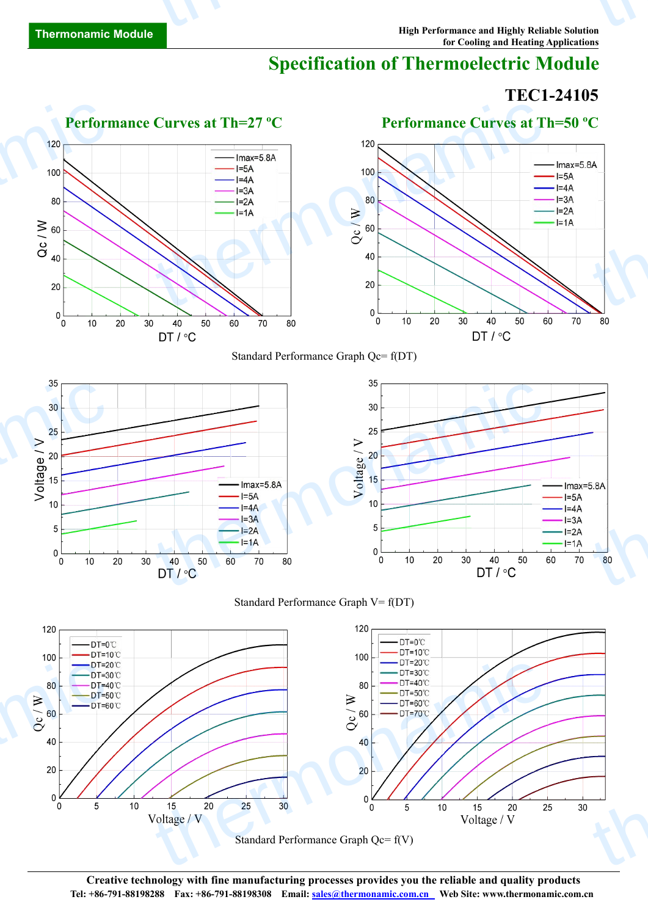# **Specification of Thermoelectric Module**

# **TEC1-24105**



**Creative technology with fine manufacturing processes provides you the reliable and quality products Tel: +86-791-88198288 Fax: +86-791-88198308 Email: sales@thermonamic.com.cn Web Site: www.thermonamic.com.cn**